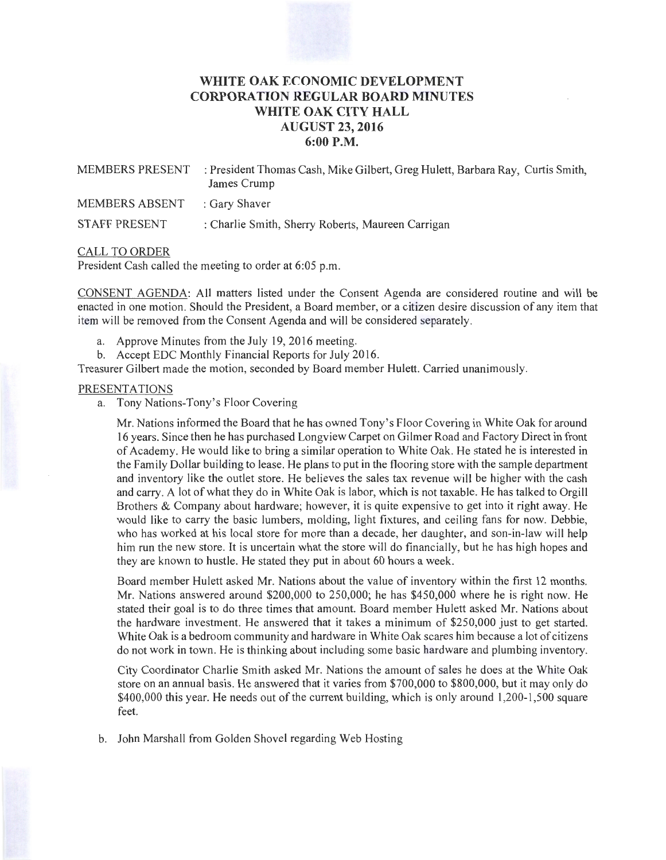# **WHITE OAK ECONOMIC DEVELOPMENT CORPORATION REGULAR BOARD MINUTES WHITE OAK CITY HALL AUGUST 23, 2016 6:00P.M.**

| MEMBERS PRESENT              | : President Thomas Cash, Mike Gilbert, Greg Hulett, Barbara Ray, Curtis Smith,<br>James Crump |
|------------------------------|-----------------------------------------------------------------------------------------------|
| MEMBERS ABSENT : Gary Shaver |                                                                                               |
| STAFF PRESENT                | : Charlie Smith, Sherry Roberts, Maureen Carrigan                                             |

### CALL TO ORDER

President Cash called the meeting to order at 6:05 p.m.

CONSENT AGENDA: All matters listed under the Consent Agenda are considered routine and will be enacted in one motion. Should the President, a Board member, or a citizen desire discussion of any item that item will be removed from the Consent Agenda and will be considered separately.

- a. Approve Minutes from the July 19, 2016 meeting.
- b. Accept EDC Monthly Financial Reports for July 2016.

Treasurer Gilbert made the motion, seconded by Board member Hulett. Carried unanimously.

### PRESENTATIONS

a. Tony Nations-Tony's Floor Covering

Mr. Nations informed the Board that he has owned Tony's Floor Covering in White Oak for around 16 years. Since then he has purchased Longview Carpet on Gilmer Road and Factory Direct in front of Academy. He would like to bring a similar operation to White Oak. He stated he is interested in the Family Dollar building to lease. He plans to put in the flooring store with the sample department and inventory like the outlet store. He believes the sales tax revenue will be higher with the cash and carry. A lot of what they do in White Oak is labor, which is not taxable. He has talked to Orgill Brothers & Company about hardware; however, it is quite expensive to get into it right away. He would like to carry the basic lumbers, molding, light fixtures, and ceiling fans for now. Debbie, who has worked at his local store for more than a decade, her daughter, and son-in-law will help him run the new store. It is uncertain what the store will do financially, but he has high hopes and they are known to hustle. He stated they put in about 60 hours a week.

Board member Hulett asked Mr. Nations about the value of inventory within the first 12 months. Mr. Nations answered around \$200,000 to 250,000; he has \$450,000 where he is right now. He stated their goal is to do three times that amount. Board member Hulett asked Mr. Nations about the hardware investment. He answered that it takes a minimum of \$250,000 just to get started. White Oak is a bedroom community and hardware in White Oak scares him because a lot of citizens do not work in town. He is thinking about including some basic hardware and plumbing inventory.

City Coordinator Charlie Smith asked Mr. Nations the amount of sales he does at the White Oak store on an annual basis. He answered that it varies from \$700,000 to \$800,000, but it may only do  $$400,000$  this year. He needs out of the current building, which is only around 1,200-1,500 square feet.

b. John Marshall from Golden Shovel regarding Web Hosting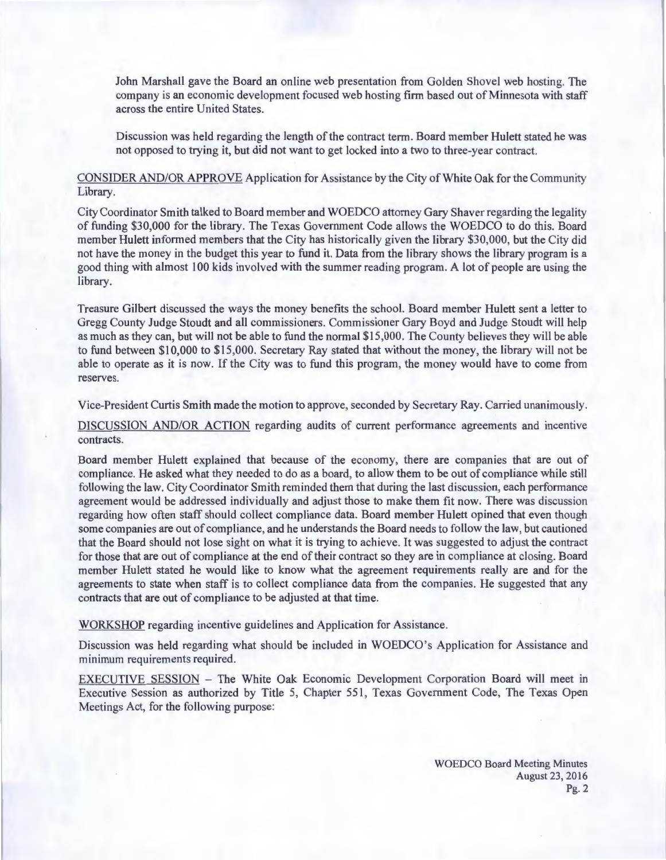John Marshall gave the Board an online web presentation from Golden Shovel web hosting. The company is an economic development focused web hosting firm based out of Minnesota with staff across the entire United States.

Discussion was held regarding the length of the contract term. Board member Hulett stated he was not opposed to trying it, but did not want to get locked into a two to three-year contract.

CONSIDER AND/OR APPROVE Application for Assistance by the City of White Oak for the Community Library.

City Coordinator Smith talked to Board member and WOEDCO attorney Gary Shaver regarding the legality of funding \$30,000 for the library. The Texas Government Code allows the WOEDCO to do this. Board member Hulett informed members that the City has historically given the library \$30,000, but the City did not have the money in the budget this year to fund it. Data from the library shows the library program is a good thing with almost 100 kids involved with the summer reading program. A lot of people are using the library.

Treasure Gilbert discussed the ways the money benefits the school. Board member Hulett sent a letter to Gregg County Judge Stoudt and all commissioners. Commissioner Gary Boyd and Judge Stoudt will help as much as they can, but will not be able to fund the normal \$15,000. The County believes they will be able to fund between \$10,000 to \$15,000. Secretary Ray stated that without the money, the library will not be able to operate as it is now. If the City was to fund this program, the money would have to come from reserves.

Vice-President Curtis Smith made the motion to approve, seconded by Secretary Ray. Carried unanimously.

DISCUSSION AND/OR ACTION regarding audits of current performance agreements and incentive contracts.

Board member Hulett explained that because of the economy, there are companies that are out of compliance. He asked what they needed to do as a board, to allow them to be out of compliance while still following the law. City Coordinator Smith reminded them that during the last discussion, each performance agreement would be addressed individually and adjust those to make them fit now. There was discussion regarding how often staff should collect compliance data. Board member Hulett opined that even though some companies are out of compliance, and he understands the Board needs to follow the law, but cautioned that the Board should not lose sight on what it is trying to achieve. It was suggested to adjust the contract for those that are out of compliance at the end of their contract so they are in compliance at closing. Board member Hulett stated he would like to know what the agreement requirements really are and for the agreements to state when staff is to collect compliance data from the companies. He suggested that any contracts that are out of compliance to be adjusted at that time.

WORKSHOP regarding incentive guidelines and Application for Assistance.

Discussion was held regarding what should be included in WOEDCO's Application for Assistance and minimum requirements required.

EXECUTIVE SESSION - The White Oak Economic Development Corporation Board will meet in Executive Session as authorized by Title 5, Chapter 551, Texas Government Code, The Texas Open Meetings Act, for the following purpose:

> WOEDCO Board Meeting Minutes August 23, 2016 Pg.2